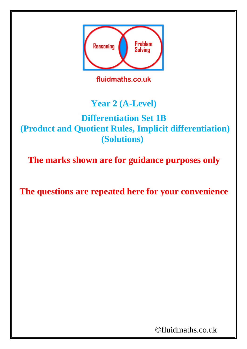

fluidmaths.co.uk

### **Year 2 (A-Level)**

#### **Differentiation Set 1B (Product and Quotient Rules, Implicit differentiation) (Solutions)**

**The marks shown are for guidance purposes only**

**The questions are repeated here for your convenience**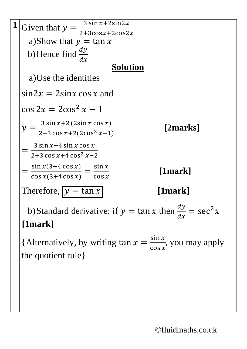

{Alternatively, by writing  $\tan x = \frac{\sin x}{\cos x}$  $\cos x$ , you may apply the quotient rule}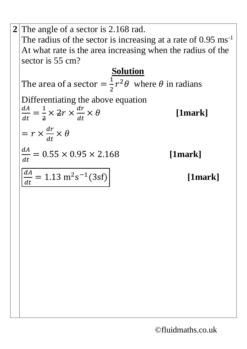**2** The angle of a sector is 2.168 rad. The radius of the sector is increasing at a rate of  $0.95 \text{ ms}^{-1}$ At what rate is the area increasing when the radius of the sector is 55 cm? **Solution** The area of a sector  $=$ 1 2  $r^2\theta$  where  $\theta$  in radians Differentiating the above equation  $dA$  $dt$ = 1 2  $\times$  2r  $\times$  $\frac{dr}{dt}$  $dt$ × **[1mark]**  $= r \times$  $\frac{dr}{dt}$  $dt$  $\times$   $\theta$  $dA$  $dt$  $= 0.55 \times 0.95 \times 2.168$  [1mark]  $dA$  $dt$  $= 1.13 \text{ m}^2 \text{s}^{-1}$ [1mark]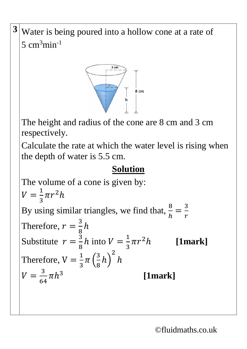**3** Water is being poured into a hollow cone at a rate of  $5$  cm<sup>3</sup>min<sup>-1</sup>



The height and radius of the cone are 8 cm and 3 cm respectively.

Calculate the rate at which the water level is rising when the depth of water is 5.5 cm.

## **Solution**

The volume of a cone is given by:  $V =$ 1 3  $\pi r^2 h$ By using similar triangles, we find that,  $\frac{8}{4}$ ℎ = 3  $\boldsymbol{r}$ Therefore,  $r = \frac{3}{8}$ 8  $\boldsymbol{h}$ Substitute  $r = \frac{3}{8}$ 8 h into  $V=\frac{1}{3}$ 3  $\pi r$ [1mark] Therefore,  $V = \frac{1}{3}$ 3  $\pi$  ( 3 8  $h)$ 2  $\boldsymbol{h}$  $V =$ 3 64  $\pi h^3$ **[1mark]**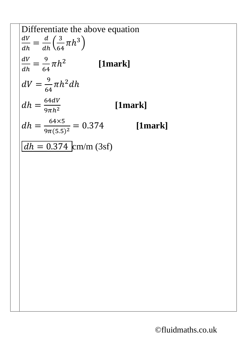Differentiate the above equation  
\n
$$
\frac{dV}{dh} = \frac{d}{dh} \left(\frac{3}{64} \pi h^3\right)
$$
\n
$$
\frac{dV}{dh} = \frac{9}{64} \pi h^2
$$
 [1mark]  
\n
$$
dV = \frac{9}{64} \pi h^2 dh
$$
\n
$$
dh = \frac{64dV}{9\pi h^2}
$$
 [1mark]  
\n
$$
dh = \frac{64 \times 5}{9\pi (5.5)^2} = 0.374
$$
 [1mark]  
\n
$$
\frac{dh = 0.374}{dh} \text{cm/m} (3sf)
$$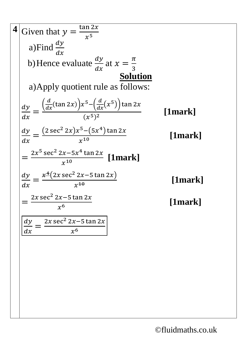4 Given that 
$$
y = \frac{\tan 2x}{x^5}
$$
  
\na)Find  $\frac{dy}{dx}$   
\nb) Hence evaluate  $\frac{dy}{dx}$  at  $x = \frac{\pi}{3}$   
\n5olution  
\na) Apply quotient rule as follows:  
\n
$$
\frac{dy}{dx} = \frac{\left(\frac{d}{dx}(\tan 2x)\right)x^5 - \left(\frac{d}{dx}(x^5)\right)\tan 2x}{(x^5)^2}
$$
 [1mark]  
\n
$$
\frac{dy}{dx} = \frac{(2\sec^2 2x)x^5 - (5x^4)\tan 2x}{x^{10}}
$$
 [1mark]  
\n
$$
= \frac{2x^5 \sec^2 2x - 5x^4 \tan 2x}{x^{10}}
$$
 [1mark]  
\n
$$
\frac{dy}{dx} = \frac{\cancel{x^4}(2x \sec^2 2x - 5 \tan 2x)}{x^{10}}
$$
 [1mark]  
\n
$$
= \frac{2x \sec^2 2x - 5 \tan 2x}{x^6}
$$
 [1mark]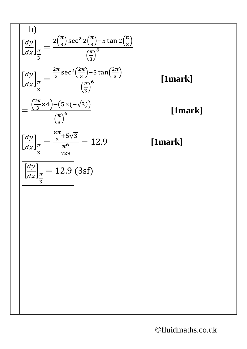b)  
\n
$$
\left[\frac{dy}{dx}\right]_{\frac{\pi}{3}} = \frac{2\left(\frac{\pi}{3}\right)\sec^2 2\left(\frac{\pi}{3}\right) - 5\tan 2\left(\frac{\pi}{3}\right)}{\left(\frac{\pi}{3}\right)^6} \left(\frac{dy}{dx}\right)_{\frac{\pi}{3}} = \frac{\frac{2\pi}{3}\sec^2\left(\frac{2\pi}{3}\right) - 5\tan\left(\frac{2\pi}{3}\right)}{\left(\frac{\pi}{3}\right)^6} \left(\frac{\pi}{3}\right)^6} = \frac{\left(\frac{2\pi}{3} \times 4\right) - \left(5 \times (-\sqrt{3})\right)}{\left(\frac{\pi}{3}\right)^6} \left(\frac{dy}{dx}\right)_{\frac{\pi}{3}} = \frac{\frac{8\pi}{3} + 5\sqrt{3}}{\frac{\pi}{729}} = 12.9
$$
\n
$$
\left[\frac{dy}{dx}\right]_{\frac{\pi}{3}} = 12.9 \quad (3sf)
$$

<sup>6</sup> **[1mark]**

 $\frac{\pi}{3}$ 

# <sup>6</sup> **[1mark]**

## = 12.9 **[1mark]**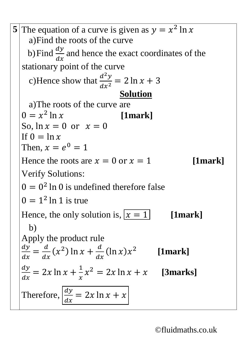**5** The equation of a curve is given as  $y = x^2 \ln x$ a)Find the roots of the curve b) Find  $\frac{dy}{dx}$  $dx$ and hence the exact coordinates of the stationary point of the curve c)Hence show that  $\frac{d^2y}{dx^2}$  $dx^2$  $= 2 \ln x + 3$ **Solution** a)The roots of the curve are  $0 = x^2$ [1mark] So,  $\ln x = 0$  or  $x = 0$ If  $0 = \ln x$ Then,  $x = e^0 = 1$ Hence the roots are  $x = 0$  or  $x = 1$  [1mark] Verify Solutions:  $0 = 0<sup>2</sup>$  ln 0 is undefined therefore false  $0 = 1^2 \ln 1$  is true Hence, the only solution is,  $\overline{x} = 1$  [1mark] b) Apply the product rule  $\frac{dy}{x}$  $dx$ =  $\boldsymbol{d}$  $dx$  $(x^2)$  ln  $x + \frac{d}{dx}$  $dx$  $(\ln x) x^2$  **[1mark]**  $\frac{dy}{x}$  $dx$  $= 2x \ln x +$ 1  $\mathcal{X}$  $x^2 = 2x \ln x + x$  [3marks] Therefore,  $\frac{dy}{dx}$  $dx$  $= 2x \ln x + x$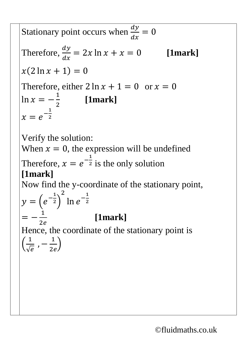Stationary point occurs when  $\frac{dy}{dx}$  $dx$  $= 0$ Therefore,  $\frac{dy}{dx}$  $dx$  $= 2x \ln x + x = 0$  [1mark]  $x(2 \ln x + 1) = 0$ Therefore, either  $2 \ln x + 1 = 0$  or  $x = 0$  $ln x = -$ 1 2 **[1mark]**  $x = e^{-\frac{1}{2}}$ 2

Verify the solution:

When  $x = 0$ , the expression will be undefined Therefore,  $x = e^{-\frac{1}{2}}$  $\frac{1}{2}$  is the only solution **[1mark]**

Now find the y-coordinate of the stationary point,

$$
y = \left(e^{-\frac{1}{2}}\right)^2 \ln e^{-\frac{1}{2}}
$$
  
=  $-\frac{1}{2e}$  [1m]

**[1mark]**

Hence, the coordinate of the stationary point is ( 1  $\sqrt{e}$ , − 1  $2e$ )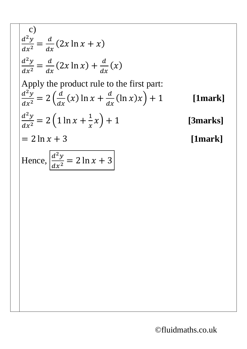c)  
\n
$$
\frac{d^2y}{dx^2} = \frac{d}{dx}(2x \ln x + x)
$$
\n
$$
\frac{d^2y}{dx^2} = \frac{d}{dx}(2x \ln x) + \frac{d}{dx}(x)
$$
\nApply the product rule to the first part:  
\n
$$
\frac{d^2y}{dx^2} = 2(\frac{d}{dx}(x) \ln x + \frac{d}{dx}(\ln x)x) + 1
$$
\n[1mark]  
\n
$$
\frac{d^2y}{dx^2} = 2(1 \ln x + \frac{1}{x}x) + 1
$$
\n[3marks]  
\n= 2 \ln x + 3 [1mark]  
\nHence,  $\frac{d^2y}{dx^2} = 2 \ln x + 3$